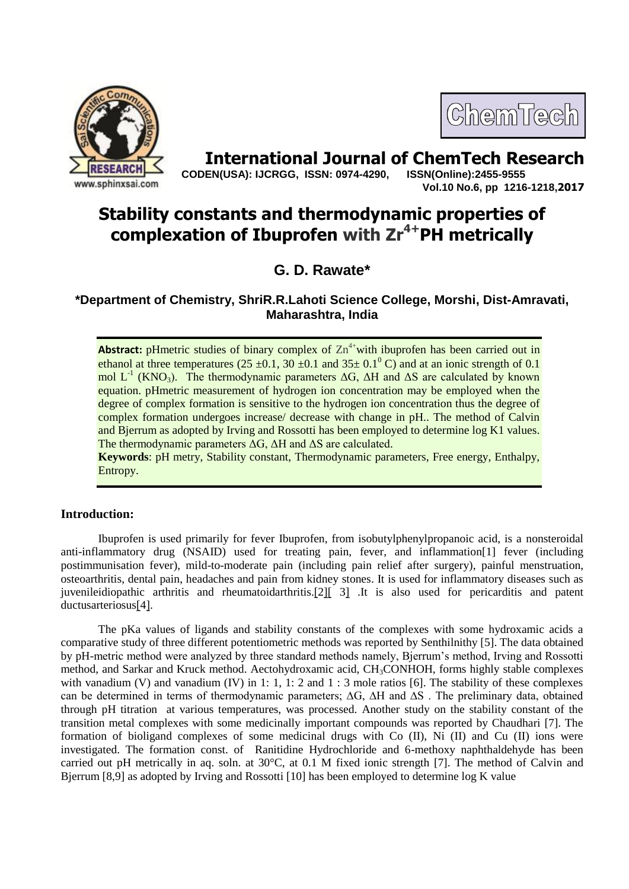



**Vol.10 No.6, pp 1216-1218,2017**

**International Journal of ChemTech Research CODEN(USA): IJCRGG, ISSN: 0974-4290, ISSN(Online):2455-9555** 

# **Stability constants and thermodynamic properties of complexation of Ibuprofen with Zr 4+PH metrically**

**G. D. Rawate\***

**\*Department of Chemistry, ShriR.R.Lahoti Science College, Morshi, Dist-Amravati, Maharashtra, India**

**Abstract:** pHmetric studies of binary complex of  $\text{Zn}^{4+}$  with ibuprofen has been carried out in ethanol at three temperatures (25  $\pm$ 0.1, 30  $\pm$ 0.1 and 35 $\pm$  0.1<sup>0</sup> C) and at an ionic strength of 0.1 mol L<sup>-1</sup> (KNO<sub>3</sub>). The thermodynamic parameters  $\Delta G$ ,  $\Delta H$  and  $\Delta S$  are calculated by known equation. pHmetric measurement of hydrogen ion concentration may be employed when the degree of complex formation is sensitive to the hydrogen ion concentration thus the degree of complex formation undergoes increase/ decrease with change in pH.. The method of Calvin and Bjerrum as adopted by Irving and Rossotti has been employed to determine log K1 values. The thermodynamic parameters ΔG, ΔH and ΔS are calculated.

**Keywords**: pH metry, Stability constant, Thermodynamic parameters, Free energy, Enthalpy, Entropy.

# **Introduction:**

Ibuprofen is used primarily for [fever Ibuprofen, from isobutylphenylpropanoic acid, is a nonsteroidal](https://en.wikipedia.org/wiki/Fever)  [anti-inflammatory drug](https://en.wikipedia.org/wiki/Fever) (NSAID) used for treating [pain,](https://en.wikipedia.org/wiki/Fever) [fever,](https://en.wikipedia.org/wiki/Fever) and [inflammation\[](https://en.wikipedia.org/wiki/Fever)1] fever (including postimmunisation fever), mild-to-moderate [pain](https://en.wikipedia.org/wiki/Pain) (including pain relief after [surgery\)](https://en.wikipedia.org/wiki/Surgery), [painful menstruation,](https://en.wikipedia.org/wiki/Dysmenorrhoea) [osteoarthritis,](https://en.wikipedia.org/wiki/Osteoarthritis) dental pain, [headaches](https://en.wikipedia.org/wiki/Headache) and [pain from kidney stones.](https://en.wikipedia.org/wiki/Renal_colic) It is used for inflammatory diseases such as [juvenileidiopathic arthritis](https://en.wikipedia.org/wiki/Juvenile_idiopathic_arthritis) and [rheumatoidarthritis](https://en.wikipedia.org/wiki/Rheumatoid_arthritis)[.\[2\]\[](https://en.wikipedia.org/wiki/Ibuprofen#cite_note-BNF-10) [3\]](https://en.wikipedia.org/wiki/Ibuprofen#cite_note-BNF-10) .It is also used for [pericarditis](https://en.wikipedia.org/wiki/Pericarditis) and [patent](https://en.wikipedia.org/wiki/Patent_ductus_arteriosus)  [ductusarteriosus\[4\].](https://en.wikipedia.org/wiki/Patent_ductus_arteriosus)

The pKa values of ligands and stability constants of the complexes with some hydroxamic acids a comparative study of three different potentiometric methods was reported by Senthilnithy [5]. The data obtained by pH-metric method were analyzed by three standard methods namely, Bjerrum's method, Irving and Rossotti method, and Sarkar and Kruck method. Aectohydroxamic acid, CH<sub>3</sub>CONHOH, forms highly stable complexes with vanadium (V) and vanadium (IV) in 1: 1, 1: 2 and 1: 3 mole ratios [6]. The stability of these complexes can be determined in terms of thermodynamic parameters; ∆G, ∆H and ∆S . The preliminary data, obtained through pH titration at various temperatures, was processed. Another study on the stability constant of the transition metal complexes with some medicinally important compounds was reported by Chaudhari [7]. The formation of bioligand complexes of some medicinal drugs with Co (II), Ni (II) and Cu (II) ions were investigated. The formation const. of Ranitidine Hydrochloride and 6-methoxy naphthaldehyde has been carried out pH metrically in aq. soln. at 30°C, at 0.1 M fixed ionic strength [7]. The method of Calvin and Bjerrum [8,9] as adopted by Irving and Rossotti [10] has been employed to determine log K value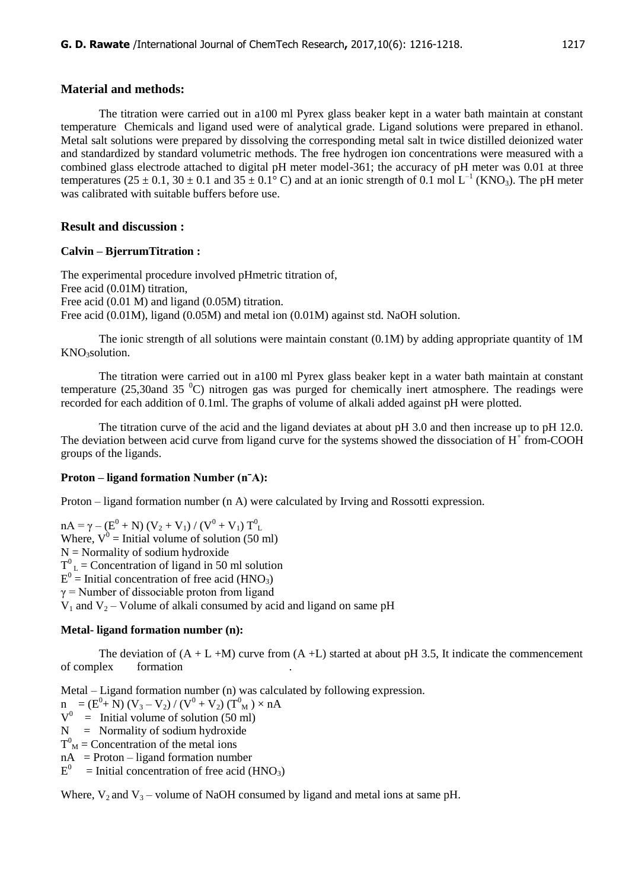## **Material and methods:**

The titration were carried out in a100 ml Pyrex glass beaker kept in a water bath maintain at constant temperature Chemicals and ligand used were of analytical grade. Ligand solutions were prepared in ethanol. Metal salt solutions were prepared by dissolving the corresponding metal salt in twice distilled deionized water and standardized by standard volumetric methods. The free hydrogen ion concentrations were measured with a combined glass electrode attached to digital pH meter model-361; the accuracy of pH meter was 0.01 at three temperatures (25  $\pm$  0.1, 30  $\pm$  0.1 and 35  $\pm$  0.1<sup>o</sup> C) and at an ionic strength of 0.1 mol L<sup>-1</sup> (KNO<sub>3</sub>). The pH meter was calibrated with suitable buffers before use.

# **Result and discussion :**

## **Calvin – BjerrumTitration :**

The experimental procedure involved pHmetric titration of, Free acid (0.01M) titration, Free acid (0.01 M) and ligand (0.05M) titration. Free acid (0.01M), ligand (0.05M) and metal ion (0.01M) against std. NaOH solution.

The ionic strength of all solutions were maintain constant (0.1M) by adding appropriate quantity of 1M KNO<sub>3</sub>solution.

The titration were carried out in a100 ml Pyrex glass beaker kept in a water bath maintain at constant temperature (25,30and 35  $^{\circ}$ C) nitrogen gas was purged for chemically inert atmosphere. The readings were recorded for each addition of 0.1ml. The graphs of volume of alkali added against pH were plotted.

The titration curve of the acid and the ligand deviates at about pH 3.0 and then increase up to pH 12.0. The deviation between acid curve from ligand curve for the systems showed the dissociation of  $H^+$  from-COOH groups of the ligands.

## **Proton – ligand formation Number (nˉA):**

Proton – ligand formation number (n A) were calculated by Irving and Rossotti expression.

nA = γ – (E<sup>0</sup> + N) (V<sub>2</sub> + V<sub>1</sub>) / (V<sup>0</sup> + V<sub>1</sub>) T<sup>0</sup><sub>L</sub> Where,  $V^0$  = Initial volume of solution (50 ml)  $N =$  Normality of sodium hydroxide  $T^{0}$ <sub>L</sub> = Concentration of ligand in 50 ml solution  $E^0$  = Initial concentration of free acid (HNO<sub>3</sub>)  $\gamma$  = Number of dissociable proton from ligand  $V_1$  and  $V_2$  – Volume of alkali consumed by acid and ligand on same pH

## **Metal- ligand formation number (n):**

The deviation of  $(A + L + M)$  curve from  $(A + L)$  started at about pH 3.5, It indicate the commencement of complex formation .

Metal – Ligand formation number (n) was calculated by following expression.

 $n = (E^0 + N) (V_3 - V_2) / (V^0 + V_2) (T^0_M) \times nA$ 

 $V^0$  = Initial volume of solution (50 ml)

- $N =$  Normality of sodium hydroxide
- $T<sup>0</sup><sub>M</sub>$  = Concentration of the metal ions
- $nA =$  Proton ligand formation number

 $E^0$  = Initial concentration of free acid (HNO<sub>3</sub>)

Where,  $V_2$  and  $V_3$  – volume of NaOH consumed by ligand and metal ions at same pH.